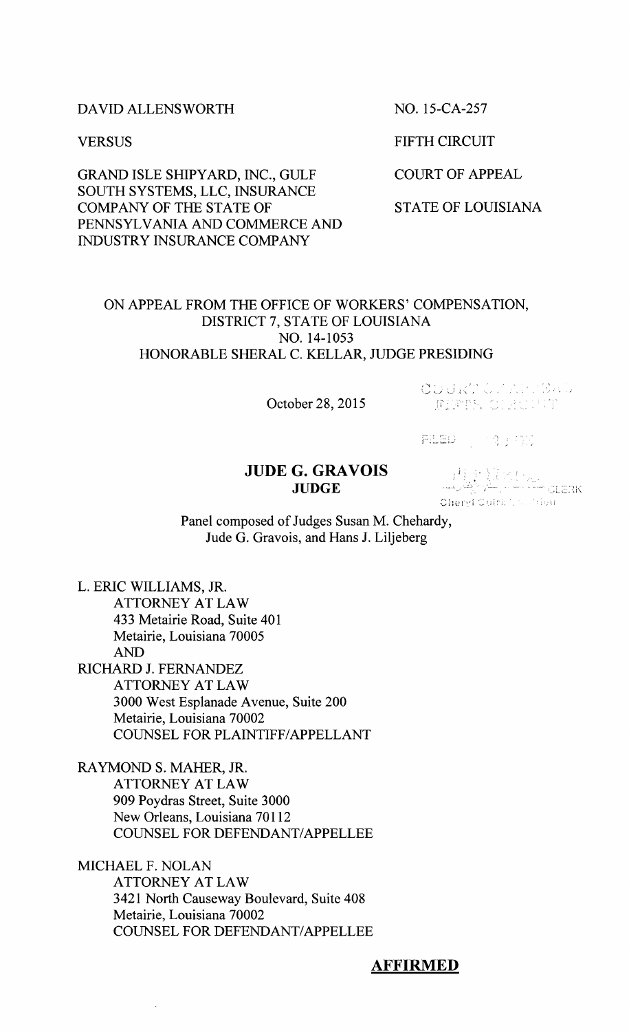#### DAVID ALLENSWORTH NO. 15-CA-257

GRAND ISLE SHIPYARD, INC., GULF COURT OF APPEAL SOUTH SYSTEMS, LLC, INSURANCE COMPANY OF THE STATE OF STATE OF STATE OF LOUISIANA PENNSYLVANIA AND COMMERCE AND INDUSTRY INSURANCE COMPANY

VERSUS FIFTH CIRCUIT

# ON APPEAL FROM THE OFFICE OF WORKERS' COMPENSATION, DISTRICT 7, STATE OF LOUISIANA NO. 14-1053 HONORABLE SHERAL C. KELLAR, JUDGE PRESIDING

October 28, 2015

OUGRACY ARTBAL **JERTH CLASHIT** 

 $\mathbb{H}^{11}_{\mathbb{Z}}$ 

# **JUDE G. GRAVOIS**

 $\begin{array}{cc} \textbf{G. GRAVOIS} & \begin{array}{c} |^{1} \end{array} & \begin{array}{c} |^{1} \end{array} & \begin{array}{c} |^{1} \end{array} & \begin{array}{c} |^{1} \end{array} & \begin{array}{c} |^{1} \end{array} & \begin{array}{c} |^{1} \end{array} & \begin{array}{c} |^{1} \end{array} & \begin{array}{c} |^{1} \end{array} & \begin{array}{c} |^{1} \end{array} & \begin{array}{c} |^{1} \end{array} & \begin{array}{c} |^{1} \end{array} & \begin{array}{c} |^{1} \end{$ 

Panel composed of Judges Susan M. Chehardy, Jude G. Gravois, and Hans J. Liljeberg

L. ERIC WILLIAMS, JR. ATTORNEY AT LAW 433 Metairie Road, Suite 401 Metairie, Louisiana 70005 AND RICHARD J. FERNANDEZ ATTORNEY AT LAW 3000 West Esplanade Avenue, Suite 200 Metairie, Louisiana 70002 COUNSEL FOR PLAINTIFF/APPELLANT

RAYMOND S. MAHER, JR. ATTORNEY AT LAW 909 Poydras Street, Suite 3000 New Orleans, Louisiana 70112 COUNSEL FOR DEFENDANT/APPELLEE

MICHAEL F. NOLAN ATTORNEY AT LAW 3421 North Causeway Boulevard, Suite 408 Metairie, Louisiana 70002 COUNSEL FOR DEFENDANT/APPELLEE

## **AFFIRMED**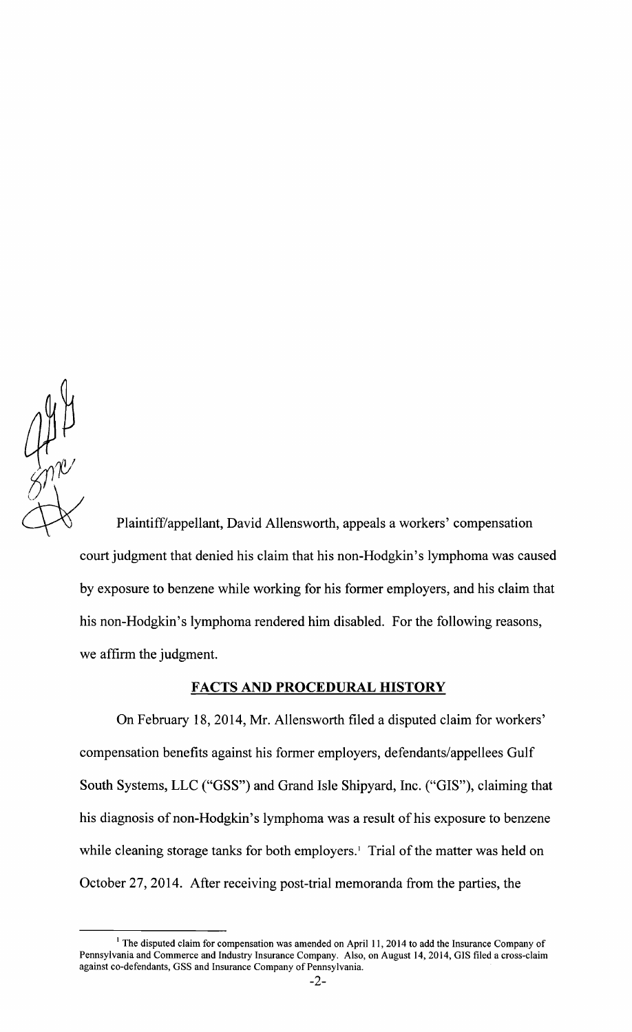

Plaintiff/appellant, David Allensworth, appeals a workers' compensation court judgment that denied his claim that his non-Hodgkin's lymphoma was caused by exposure to benzene while working for his former employers, and his claim that his non-Hodgkin's lymphoma rendered him disabled. For the following reasons, we affirm the judgment.

## **FACTS AND PROCEDURAL HISTORY**

On February 18,2014, Mr. Allensworth filed a disputed claim for workers' compensation benefits against his former employers, defendants/appellees Gulf South Systems, LLC ("GSS") and Grand Isle Shipyard, Inc. ("GIS"), claiming that his diagnosis of non-Hodgkin's lymphoma was a result of his exposure to benzene while cleaning storage tanks for both employers.<sup>1</sup> Trial of the matter was held on October 27,2014. After receiving post-trial memoranda from the parties, the

 $1$  The disputed claim for compensation was amended on April 11, 2014 to add the Insurance Company of Pennsylvania and Commerce and Industry Insurance Company. Also, on August 14,2014, GIS filed a cross-claim against co-defendants, GSS and Insurance Company of Pennsylvania.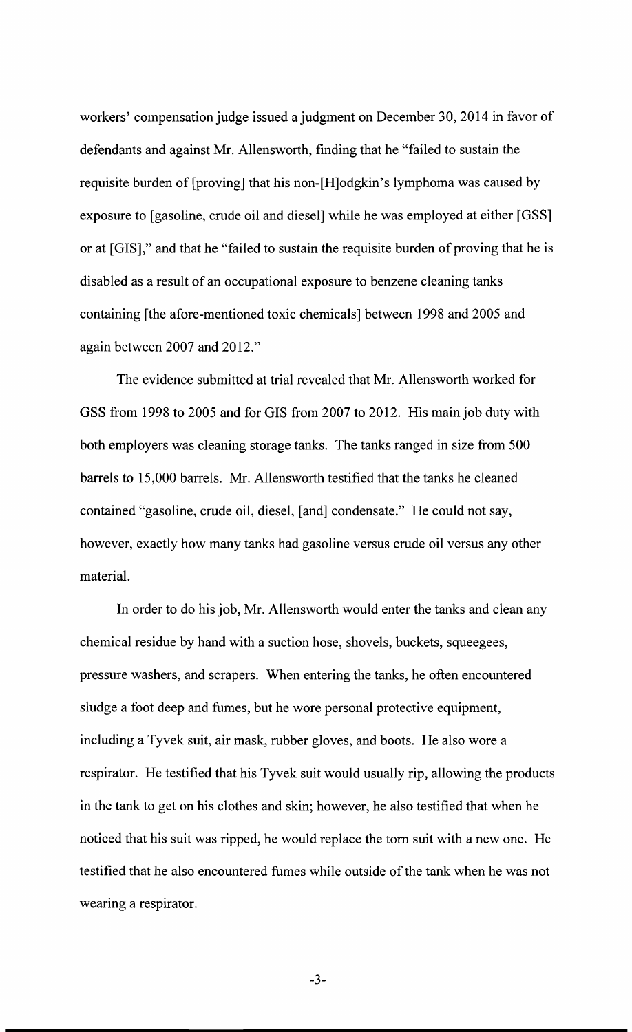workers' compensation judge issued a judgment on December 30,2014 in favor of defendants and against Mr. Allensworth, finding that he "failed to sustain the requisite burden of [proving] that his non-[H]odgkin's lymphoma was caused by exposure to [gasoline, crude oil and diesel] while he was employed at either [GSS] or at [GIS]," and that he "failed to sustain the requisite burden of proving that he is disabled as a result of an occupational exposure to benzene cleaning tanks containing [the afore-mentioned toxic chemicals] between 1998 and 2005 and again between 2007 and 2012."

The evidence submitted at trial revealed that Mr. Allensworth worked for GSS from 1998 to 2005 and for GIS from 2007 to 2012. His main job duty with both employers was cleaning storage tanks. The tanks ranged in size from 500 barrels to 15,000 barrels. Mr. Allensworth testified that the tanks he cleaned contained "gasoline, crude oil, diesel, [and] condensate." He could not say, however, exactly how many tanks had gasoline versus crude oil versus any other material.

In order to do his job, Mr. Allensworth would enter the tanks and clean any chemical residue by hand with a suction hose, shovels, buckets, squeegees, pressure washers, and scrapers. When entering the tanks, he often encountered sludge a foot deep and fumes, but he wore personal protective equipment, including a Tyvek suit, air mask, rubber gloves, and boots. He also wore a respirator. He testified that his Tyvek suit would usually rip, allowing the products in the tank to get on his clothes and skin; however, he also testified that when he noticed that his suit was ripped, he would replace the tom suit with a new one. He testified that he also encountered fumes while outside of the tank when he was not wearing a respirator.

 $-3-$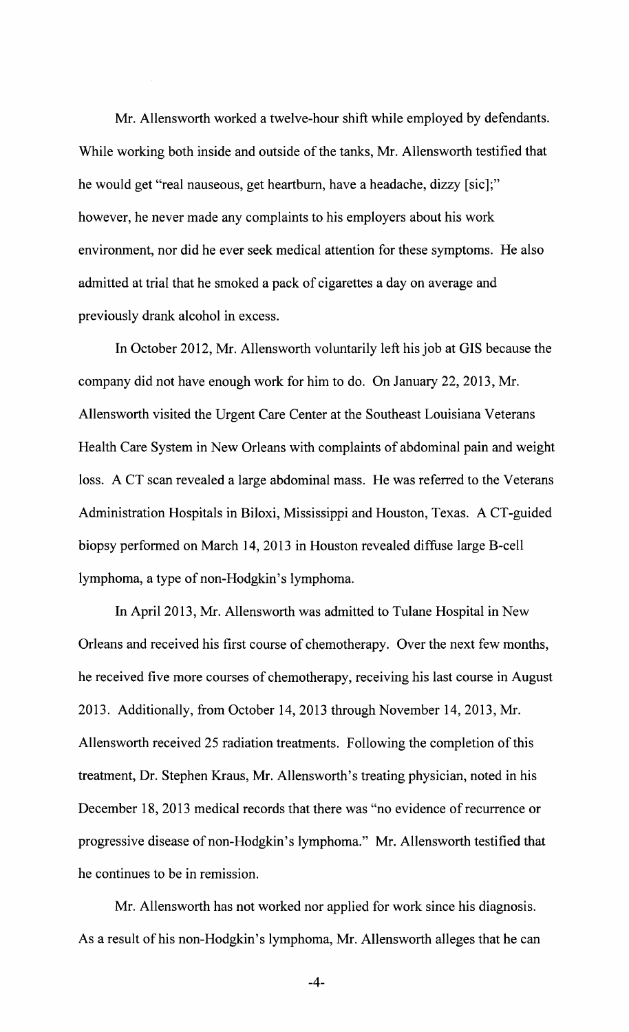Mr. Allensworth worked a twelve-hour shift while employed by defendants. While working both inside and outside of the tanks, Mr. Allensworth testified that he would get "real nauseous, get heartburn, have a headache, dizzy [sic];" however, he never made any complaints to his employers about his work environment, nor did he ever seek medical attention for these symptoms. He also admitted at trial that he smoked a pack of cigarettes a day on average and previously drank alcohol in excess.

In October 2012, Mr. Allensworth voluntarily left his job at GIS because the company did not have enough work for him to do. On January 22,2013, Mr. Allensworth visited the Urgent Care Center at the Southeast Louisiana Veterans Health Care System in New Orleans with complaints of abdominal pain and weight loss. A CT scan revealed a large abdominal mass. He was referred to the Veterans Administration Hospitals in Biloxi, Mississippi and Houston, Texas. A CT-guided biopsy performed on March 14, 2013 in Houston revealed diffuse large B-cell lymphoma, a type of non-Hodgkin's lymphoma.

In April 2013, Mr. Allensworth was admitted to Tulane Hospital in New Orleans and received his first course of chemotherapy. Over the next few months, he received five more courses of chemotherapy, receiving his last course in August 2013. Additionally, from October 14,2013 through November 14,2013, Mr. Allensworth received 25 radiation treatments. Following the completion of this treatment, Dr. Stephen Kraus, Mr. Allensworth's treating physician, noted in his December 18, 2013 medical records that there was "no evidence of recurrence or progressive disease of non-Hodgkin's lymphoma." Mr. Allensworth testified that he continues to be in remission.

Mr. Allensworth has not worked nor applied for work since his diagnosis. As a result of his non-Hodgkin's lymphoma, Mr. Allensworth alleges that he can

 $-4-$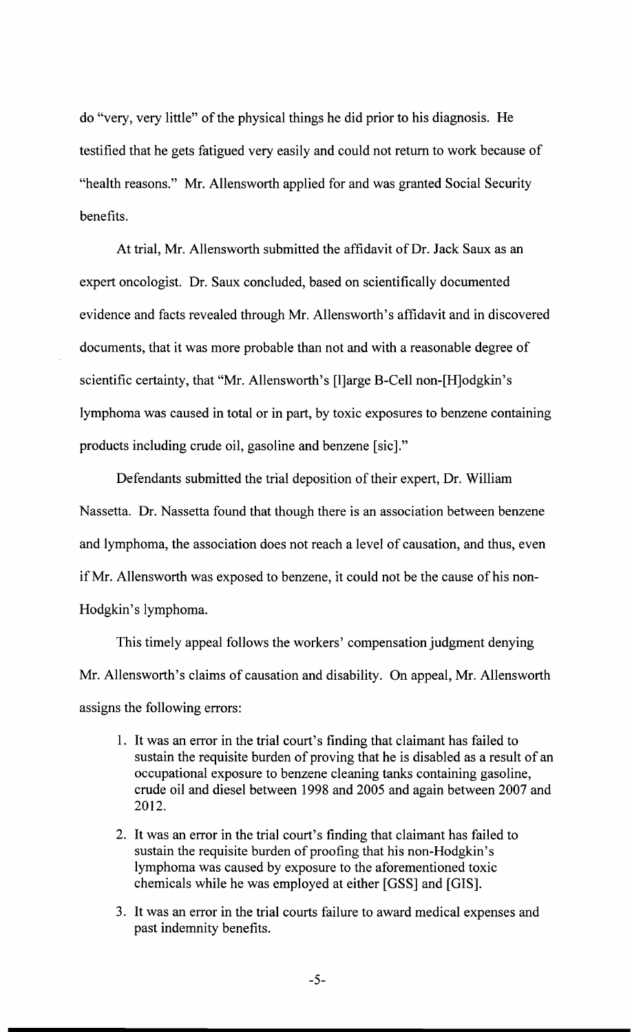do "very, very little" of the physical things he did prior to his diagnosis. He testified that he gets fatigued very easily and could not return to work because of "health reasons." Mr. Allensworth applied for and was granted Social Security benefits.

At trial, Mr. Allensworth submitted the affidavit of Dr. Jack Saux as an expert oncologist. Dr. Saux concluded, based on scientifically documented evidence and facts revealed through Mr. Allensworth's affidavit and in discovered documents, that it was more probable than not and with a reasonable degree of scientific certainty, that "Mr. Allensworth's [l]arge B-Cell non-[H]odgkin's lymphoma was caused in total or in part, by toxic exposures to benzene containing products including crude oil, gasoline and benzene [sic]."

Defendants submitted the trial deposition of their expert, Dr. William Nassetta. Dr. Nassetta found that though there is an association between benzene and lymphoma, the association does not reach a level of causation, and thus, even ifMr. Allensworth was exposed to benzene, it could not be the cause of his non-Hodgkin's lymphoma.

This timely appeal follows the workers' compensation judgment denying Mr. Allensworth's claims of causation and disability. On appeal, Mr. Allensworth assigns the following errors:

- 1. It was an error in the trial court's finding that claimant has failed to sustain the requisite burden of proving that he is disabled as a result of an occupational exposure to benzene cleaning tanks containing gasoline, crude oil and diesel between 1998 and 2005 and again between 2007 and 2012.
- 2. It was an error in the trial court's finding that claimant has failed to sustain the requisite burden of proofing that his non-Hodgkin's lymphoma was caused by exposure to the aforementioned toxic chemicals while he was employed at either [GSS] and [GIS].
- 3. It was an error in the trial courts failure to award medical expenses and past indemnity benefits.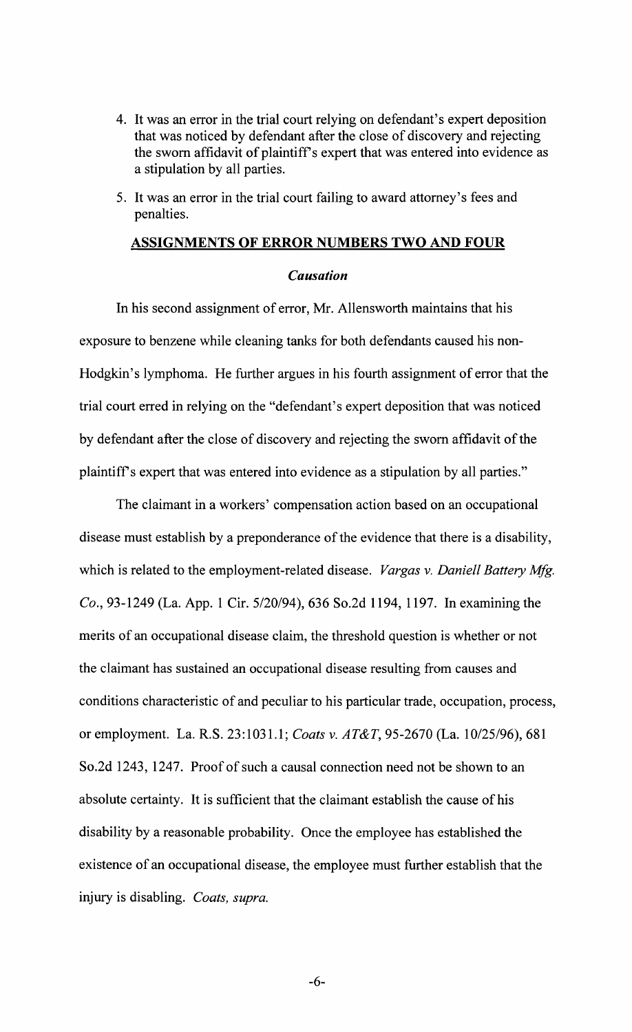- 4. It was an error in the trial court relying on defendant's expert deposition that was noticed by defendant after the close of discovery and rejecting the sworn affidavit of plaintiff's expert that was entered into evidence as a stipulation by all parties.
- 5. It was an error in the trial court failing to award attorney's fees and penalties.

#### **ASSIGNMENTS OF ERROR NUMBERS TWO AND FOUR**

#### *Causation*

In his second assignment of error, Mr. Allensworth maintains that his exposure to benzene while cleaning tanks for both defendants caused his non-Hodgkin's lymphoma. He further argues in his fourth assignment of error that the trial court erred in relying on the "defendant's expert deposition that was noticed by defendant after the close of discovery and rejecting the sworn affidavit of the plaintiffs expert that was entered into evidence as a stipulation by all parties."

The claimant in a workers' compensation action based on an occupational disease must establish by a preponderance of the evidence that there is a disability, which is related to the employment-related disease. *Vargas* v. *Daniell Battery Mfg. Co.,* 93-1249 (La. App. 1 Cir. 5/20/94), 636 So.2d 1194, 1197. In examining the merits of an occupational disease claim, the threshold question is whether or not the claimant has sustained an occupational disease resulting from causes and conditions characteristic of and peculiar to his particular trade, occupation, process, or employment. La. R.S. 23:1031.1; *Coats* v. *AT&T,* 95-2670 (La. 10/25/96),681 So.2d 1243, 1247. Proof of such a causal connection need not be shown to an absolute certainty. It is sufficient that the claimant establish the cause of his disability by a reasonable probability. Once the employee has established the existence of an occupational disease, the employee must further establish that the injury is disabling. *Coats, supra.* 

-6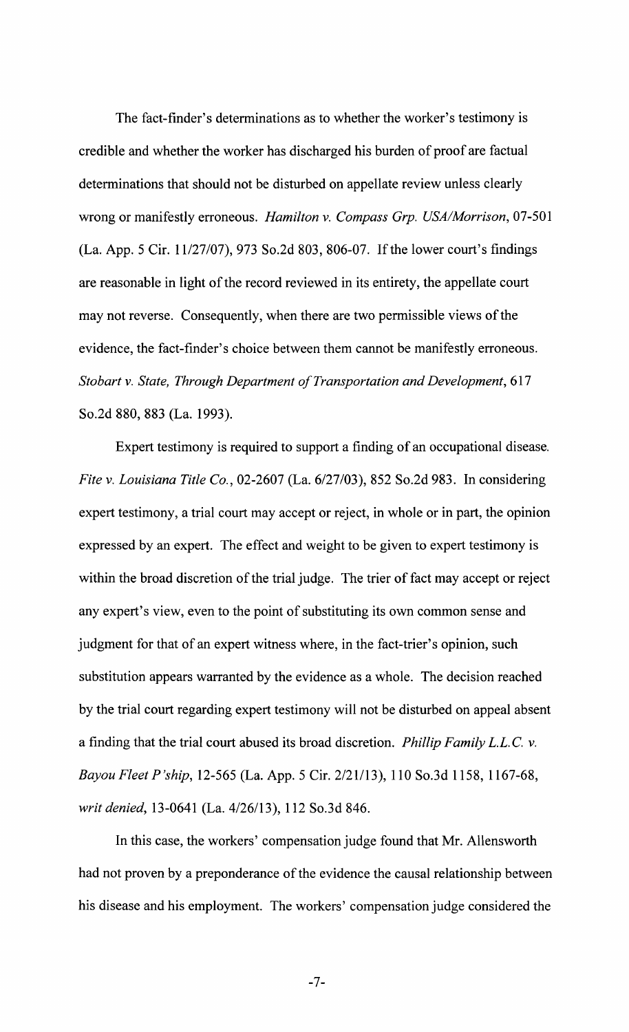The fact-finder's determinations as to whether the worker's testimony is credible and whether the worker has discharged his burden of proof are factual determinations that should not be disturbed on appellate review unless clearly wrong or manifestly erroneous. *Hamilton* v. *Compass Grp. USA/Morrison,* 07-501 (La. App. 5 Cir. 11/27/07),973 So.2d 803, 806-07. If the lower court's findings are reasonable in light of the record reviewed in its entirety, the appellate court may not reverse. Consequently, when there are two permissible views of the evidence, the fact-finder's choice between them cannot be manifestly erroneous. *Stobart v. State, Through Department of Transportation and Development, 617* So.2d 880, 883 (La. 1993).

Expert testimony is required to support a finding of an occupational disease. *File* v. *Louisiana Title Co.,* 02-2607 (La. 6/27/03), 852 So.2d 983. In considering expert testimony, a trial court may accept or reject, in whole or in part, the opinion expressed by an expert. The effect and weight to be given to expert testimony is within the broad discretion of the trial judge. The trier of fact may accept or reject any expert's view, even to the point of substituting its own common sense and judgment for that of an expert witness where, in the fact-trier's opinion, such substitution appears warranted by the evidence as a whole. The decision reached by the trial court regarding expert testimony will not be disturbed on appeal absent a finding that the trial court abused its broad discretion. *Phillip Family* L.L. C. v. *Bayou Fleet P'ship,* 12-565 (La. App. 5 Cir. 2/21/13), 110 So.3d 1158, 1167-68, *writ denied,* 13-0641 (La. 4/26/13), 112 So.3d 846.

In this case, the workers' compensation judge found that Mr. Allensworth had not proven by a preponderance of the evidence the causal relationship between his disease and his employment. The workers' compensation judge considered the

 $-7-$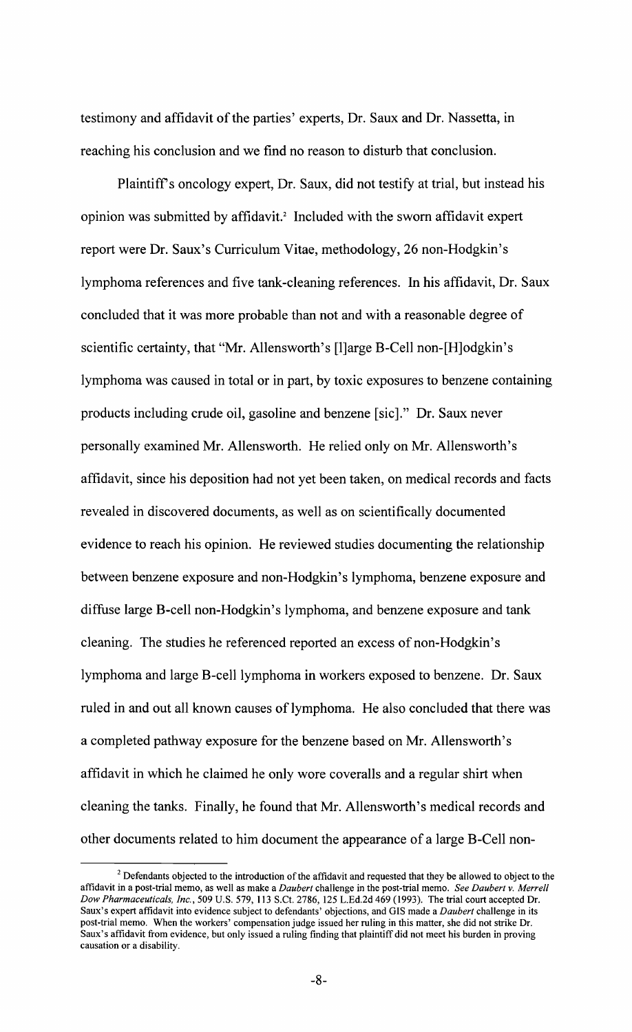testimony and affidavit of the parties' experts, Dr. Saux and Dr. Nassetta, in reaching his conclusion and we find no reason to disturb that conclusion.

Plaintiff's oncology expert, Dr. Saux, did not testify at trial, but instead his opinion was submitted by affidavit.' Included with the sworn affidavit expert report were Dr. Saux's Curriculum Vitae, methodology, 26 non-Hodgkin's lymphoma references and five tank-cleaning references. In his affidavit, Dr. Saux concluded that it was more probable than not and with a reasonable degree of scientific certainty, that "Mr. Allensworth's [l]arge B-Cell non-[H]odgkin's lymphoma was caused in total or in part, by toxic exposures to benzene containing products including crude oil, gasoline and benzene [sic]." Dr. Saux never personally examined Mr. Allensworth. He relied only on Mr. Allensworth's affidavit, since his deposition had not yet been taken, on medical records and facts revealed in discovered documents, as well as on scientifically documented evidence to reach his opinion. He reviewed studies documenting the relationship between benzene exposure and non-Hodgkin's lymphoma, benzene exposure and diffuse large B-cell non-Hodgkin's lymphoma, and benzene exposure and tank cleaning. The studies he referenced reported an excess of non-Hodgkin's lymphoma and large B-cell lymphoma in workers exposed to benzene. Dr. Saux ruled in and out all known causes of lymphoma. He also concluded that there was a completed pathway exposure for the benzene based on Mr. Allensworth's affidavit in which he claimed he only wore coveralls and a regular shirt when cleaning the tanks. Finally, he found that Mr. Allensworth's medical records and other documents related to him document the appearance of a large B-Cell non-

 $2$  Defendants objected to the introduction of the affidavit and requested that they be allowed to object to the affidavit in a post-trial memo, as well as make a *Daubert* challenge in the post-trial memo. *See Daubert* v. *Merrell Dow Pharmaceuticals, Inc.,* 509 U.S. 579, 113 S.Ct. 2786, 125 L.Ed.2d 469 (1993). The trial court accepted Dr. Saux's expert affidavit into evidence subject to defendants' objections, and GIS made a *Daubert* challenge in its post-trial memo. When the workers' compensation judge issued her ruling in this matter, she did not strike Dr. Saux's affidavit from evidence, but only issued a ruling finding that plaintiff did not meet his burden in proving causation or a disability.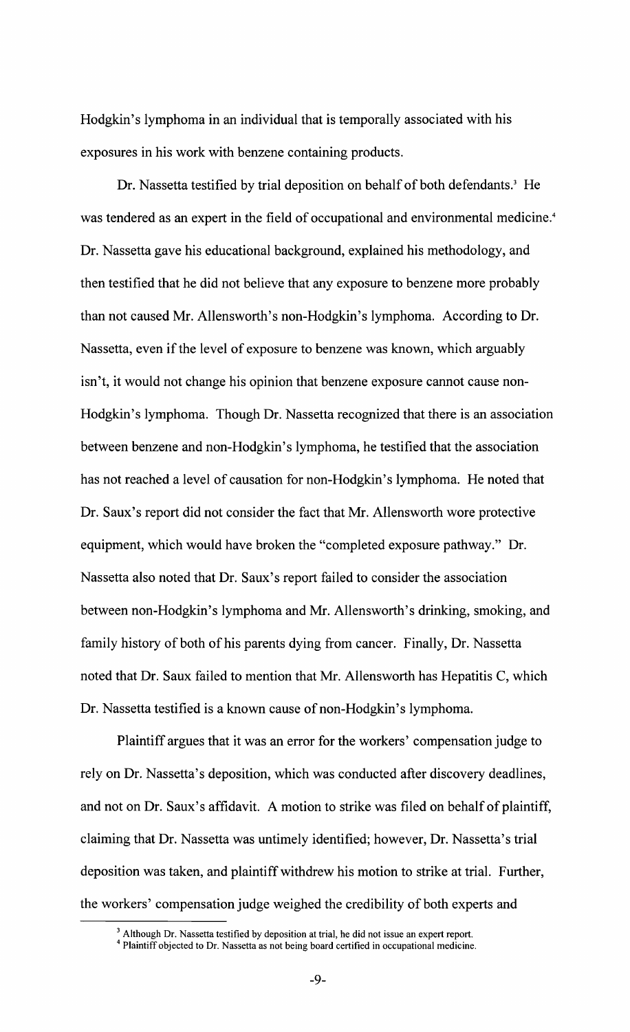Hodgkin's lymphoma in an individual that is temporally associated with his exposures in his work with benzene containing products.

Dr. Nassetta testified by trial deposition on behalf of both defendants.' He was tendered as an expert in the field of occupational and environmental medicine.<sup>4</sup> Dr. Nassetta gave his educational background, explained his methodology, and then testified that he did not believe that any exposure to benzene more probably than not caused Mr. Allensworth's non-Hodgkin's lymphoma. According to Dr. Nassetta, even if the level of exposure to benzene was known, which arguably isn't, it would not change his opinion that benzene exposure cannot cause non-Hodgkin's lymphoma. Though Dr. Nassetta recognized that there is an association between benzene and non-Hodgkin's lymphoma, he testified that the association has not reached a level of causation for non-Hodgkin's lymphoma. He noted that Dr. Saux's report did not consider the fact that Mr. Allensworth wore protective equipment, which would have broken the "completed exposure pathway." Dr. Nassetta also noted that Dr. Saux's report failed to consider the association between non-Hodgkin's lymphoma and Mr. Allensworth's drinking, smoking, and family history of both of his parents dying from cancer. Finally, Dr. Nassetta noted that Dr. Saux failed to mention that Mr. Allensworth has Hepatitis C, which Dr. Nassetta testified is a known cause of non-Hodgkin's lymphoma.

Plaintiff argues that it was an error for the workers' compensation judge to rely on Dr. Nassetta's deposition, which was conducted after discovery deadlines, and not on Dr. Saux's affidavit. A motion to strike was filed on behalf of plaintiff, claiming that Dr. Nassetta was untimely identified; however, Dr. Nassetta's trial deposition was taken, and plaintiff withdrew his motion to strike at trial. Further, the workers' compensation judge weighed the credibility of both experts and

<sup>3</sup> Although Dr. Nassetta testified by deposition at trial, he did not issue an expert report.

<sup>4</sup> Plaintiff objected to Dr. Nassetta as not being board certified in occupational medicine.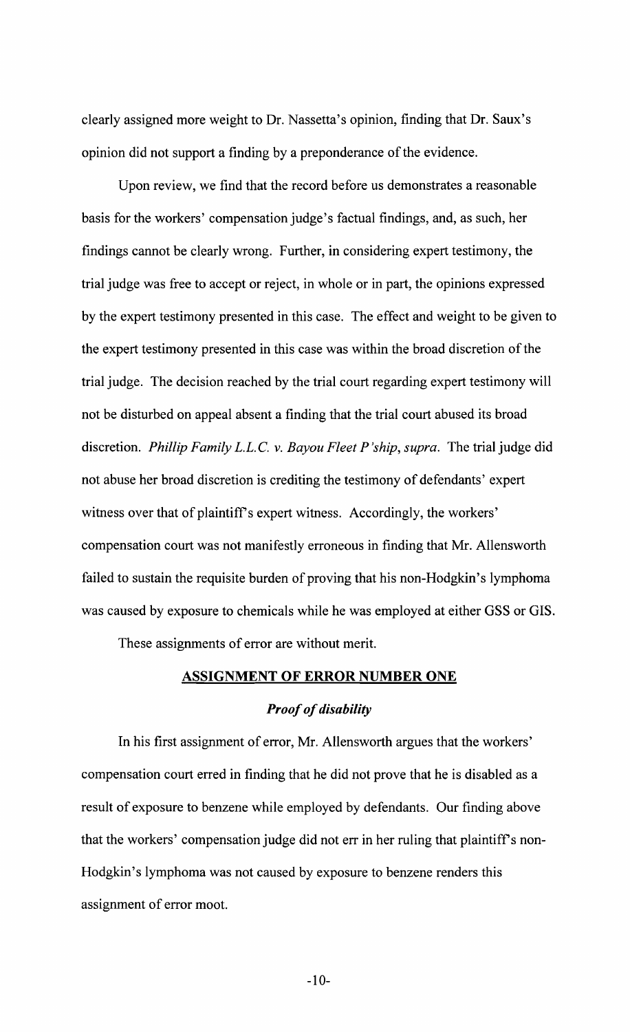clearly assigned more weight to Dr. Nassetta's opinion, finding that Dr. Saux's opinion did not support a finding by a preponderance of the evidence.

Upon review, we find that the record before us demonstrates a reasonable basis for the workers' compensation judge's factual findings, and, as such, her findings cannot be clearly wrong. Further, in considering expert testimony, the trial judge was free to accept or reject, in whole or in part, the opinions expressed by the expert testimony presented in this case. The effect and weight to be given to the expert testimony presented in this case was within the broad discretion of the trial judge. The decision reached by the trial court regarding expert testimony will not be disturbed on appeal absent a finding that the trial court abused its broad discretion. *Phillip Family* L.L. C. v. *Bayou Fleet P'ship, supra.* The trial judge did not abuse her broad discretion is crediting the testimony of defendants' expert witness over that of plaintiff's expert witness. Accordingly, the workers' compensation court was not manifestly erroneous in finding that Mr. Allensworth failed to sustain the requisite burden of proving that his non-Hodgkin's lymphoma was caused by exposure to chemicals while he was employed at either GSS or GIS.

These assignments of error are without merit.

#### ASSIGNMENT OF ERROR NUMBER ONE

#### **Proof of disability**

In his first assignment of error, Mr. Allensworth argues that the workers' compensation court erred in finding that he did not prove that he is disabled as a result of exposure to benzene while employed by defendants. Our finding above that the workers' compensation judge did not err in her ruling that plaintiff's non-Hodgkin's lymphoma was not caused by exposure to benzene renders this assignment of error moot.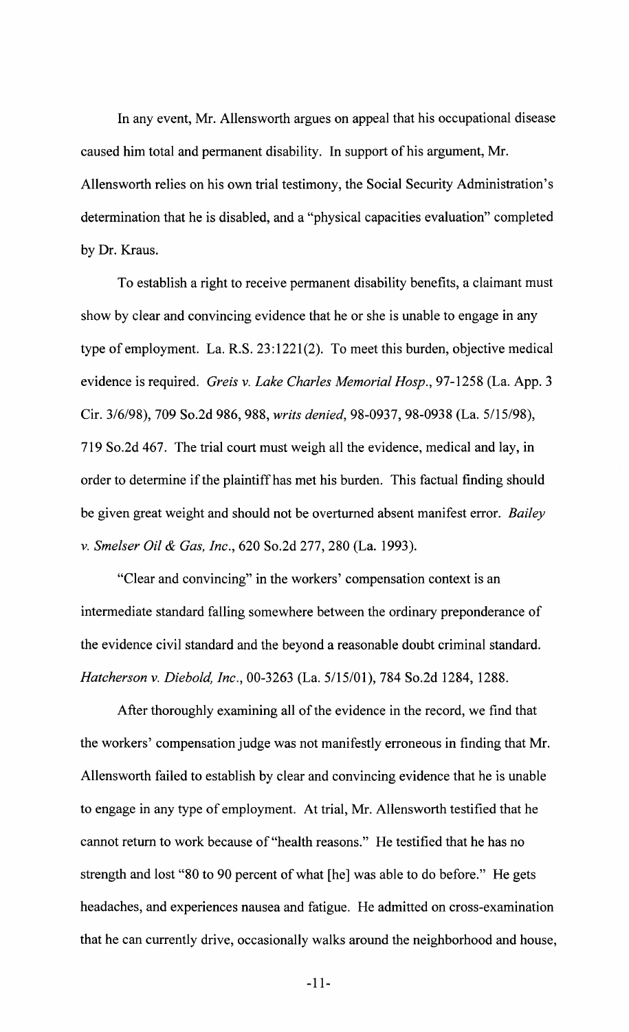**In** any event, Mr. Allensworth argues on appeal that his occupational disease caused him total and permanent disability. **In** support of his argument, Mr. Allensworth relies on his own trial testimony, the Social Security Administration's determination that he is disabled, and a "physical capacities evaluation" completed by Dr. Kraus.

To establish a right to receive permanent disability benefits, a claimant must show by clear and convincing evidence that he or she is unable to engage in any type of employment. La. R.S. 23:1221(2). To meet this burden, objective medical evidence is required. *Greis* v. *Lake Charles Memorial Hosp.,* 97-1258 (La. App. 3 Cir. 3/6/98), 709 So.2d 986, 988, *writs denied,* 98-0937, 98-0938 (La. 5/15/98), 719 So.2d 467. The trial court must weigh all the evidence, medical and lay, in order to determine if the plaintiff has met his burden. This factual finding should be given great weight and should not be overturned absent manifest error. *Bailey*  v. *Smelser Oil* & *Gas, Inc.,* 620 So.2d 277,280 (La. 1993).

"Clear and convincing" in the workers' compensation context is an intermediate standard falling somewhere between the ordinary preponderance of the evidence civil standard and the beyond a reasonable doubt criminal standard. *Hatcherson* v. *Diebold, Inc.,* 00-3263 (La. 5/15/01), 784 So.2d 1284, 1288.

After thoroughly examining all of the evidence in the record, we find that the workers' compensation judge was not manifestly erroneous in finding that Mr. Allensworth failed to establish by clear and convincing evidence that he is unable to engage in any type of employment. At trial, Mr. Allensworth testified that he cannot return to work because of "health reasons." He testified that he has no strength and lost "80 to 90 percent of what [he] was able to do before." He gets headaches, and experiences nausea and fatigue. He admitted on cross-examination that he can currently drive, occasionally walks around the neighborhood and house,

 $-11-$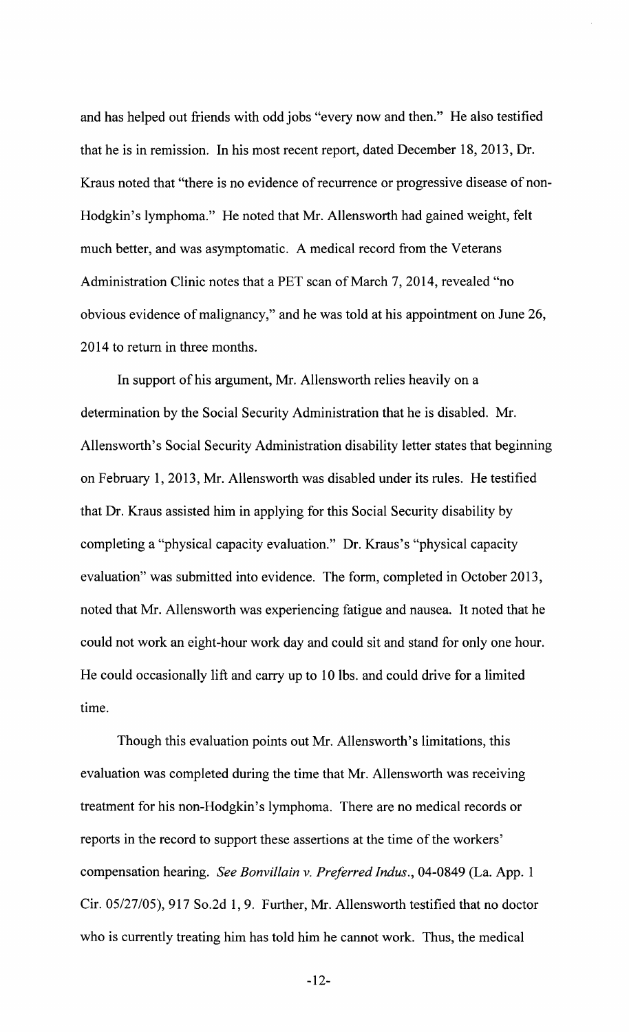and has helped out friends with odd jobs "every now and then." He also testified that he is in remission. In his most recent report, dated December 18,2013, Dr. Kraus noted that "there is no evidence of recurrence or progressive disease of non-Hodgkin's lymphoma." He noted that Mr. Allensworth had gained weight, felt much better, and was asymptomatic. A medical record from the Veterans Administration Clinic notes that a PET scan of March 7, 2014, revealed "no obvious evidence of malignancy," and he was told at his appointment on June 26, 2014 to return in three months.

In support of his argument, Mr. Allensworth relies heavily on a determination by the Social Security Administration that he is disabled. Mr. Allensworth's Social Security Administration disability letter states that beginning on February 1,2013, Mr. Allensworth was disabled under its rules. He testified that Dr. Kraus assisted him in applying for this Social Security disability by completing a "physical capacity evaluation." Dr. Kraus's "physical capacity evaluation" was submitted into evidence. The form, completed in October 2013, noted that Mr. Allensworth was experiencing fatigue and nausea. It noted that he could not work an eight-hour work day and could sit and stand for only one hour. He could occasionally lift and carry up to 10 lbs. and could drive for a limited time.

Though this evaluation points out Mr. Allensworth's limitations, this evaluation was completed during the time that Mr. Allensworth was receiving treatment for his non-Hodgkin's lymphoma. There are no medical records or reports in the record to support these assertions at the time of the workers' compensation hearing. *See Bonvillain* v. *Preferred Indus.,* 04-0849 (La. App. 1 Cir. OS/27/05),917 So.2d 1,9. Further, Mr. Allensworth testified that no doctor who is currently treating him has told him he cannot work. Thus, the medical

 $-12-$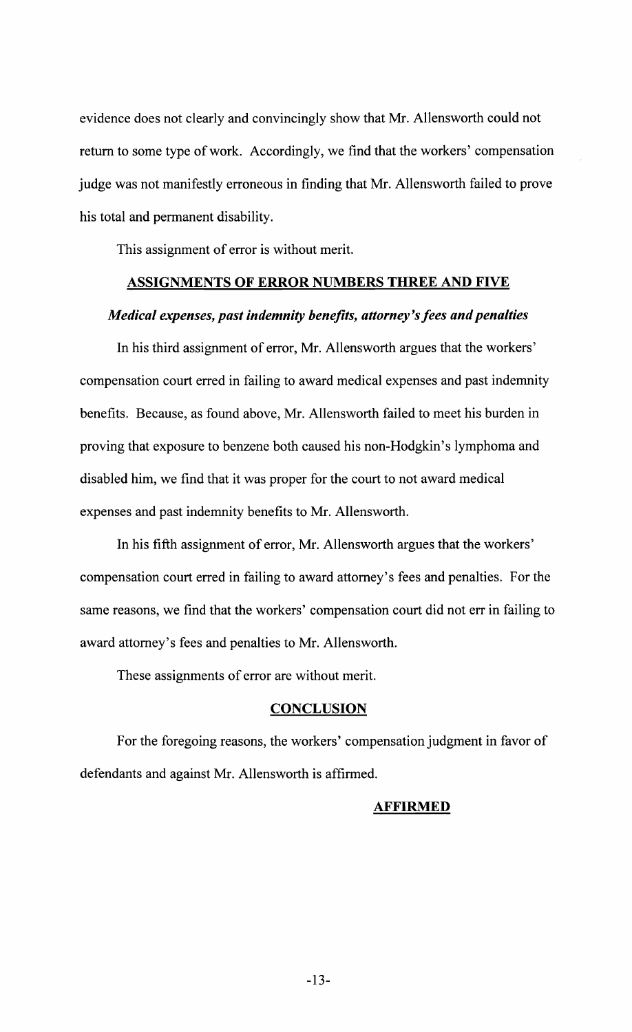evidence does not clearly and convincingly show that Mr. Allensworth could not return to some type of work. Accordingly, we find that the workers' compensation judge was not manifestly erroneous in finding that Mr. Allensworth failed to prove his total and permanent disability.

This assignment of error is without merit.

## ASSIGNMENTS OF ERROR NUMBERS THREE AND FIVE

#### *Medical expenses, past indemnity benefits, attorney's fees and penalties*

In his third assignment of error, Mr. Allensworth argues that the workers' compensation court erred in failing to award medical expenses and past indemnity benefits. Because, as found above, Mr. Allensworth failed to meet his burden in proving that exposure to benzene both caused his non-Hodgkin's lymphoma and disabled him, we find that it was proper for the court to not award medical expenses and past indemnity benefits to Mr. Allensworth.

In his fifth assignment of error, Mr. Allensworth argues that the workers' compensation court erred in failing to award attorney's fees and penalties. For the same reasons, we find that the workers' compensation court did not err in failing to award attorney's fees and penalties to Mr. Allensworth.

These assignments of error are without merit.

#### **CONCLUSION**

For the foregoing reasons, the workers' compensation judgment in favor of defendants and against Mr. Allensworth is affirmed.

#### AFFIRMED